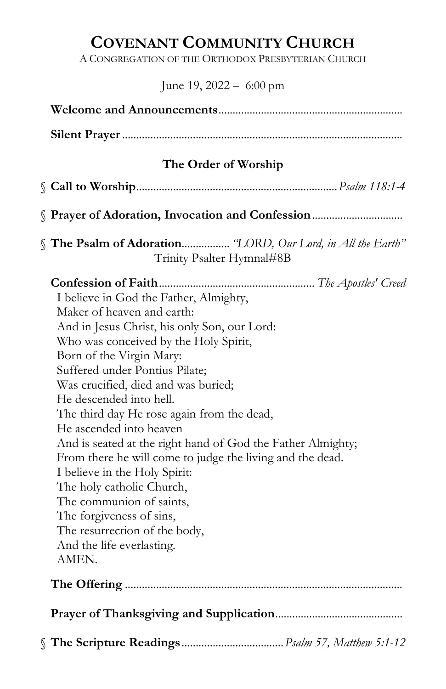# COVENANT COMMUNITY CHURCH

A CONGREGATION OF THE ORTHODOX PRESBYTERIAN CHURCH

## June 19, 2022 – 6:00 pm

| The Order of Worship                                                                                                                                                                                                                                                                                                                                                                                                                                                                                                                                                                                                                                                                            |  |
|-------------------------------------------------------------------------------------------------------------------------------------------------------------------------------------------------------------------------------------------------------------------------------------------------------------------------------------------------------------------------------------------------------------------------------------------------------------------------------------------------------------------------------------------------------------------------------------------------------------------------------------------------------------------------------------------------|--|
|                                                                                                                                                                                                                                                                                                                                                                                                                                                                                                                                                                                                                                                                                                 |  |
|                                                                                                                                                                                                                                                                                                                                                                                                                                                                                                                                                                                                                                                                                                 |  |
|                                                                                                                                                                                                                                                                                                                                                                                                                                                                                                                                                                                                                                                                                                 |  |
| Prayer of Adoration, Invocation and Confession                                                                                                                                                                                                                                                                                                                                                                                                                                                                                                                                                                                                                                                  |  |
| The Psalm of Adoration "LORD, Our Lord, in All the Earth"<br>Trinity Psalter Hymnal#8B                                                                                                                                                                                                                                                                                                                                                                                                                                                                                                                                                                                                          |  |
| I believe in God the Father, Almighty,<br>Maker of heaven and earth:<br>And in Jesus Christ, his only Son, our Lord:<br>Who was conceived by the Holy Spirit,<br>Born of the Virgin Mary:<br>Suffered under Pontius Pilate;<br>Was crucified, died and was buried;<br>He descended into hell.<br>The third day He rose again from the dead,<br>He ascended into heaven<br>And is seated at the right hand of God the Father Almighty;<br>From there he will come to judge the living and the dead.<br>I believe in the Holy Spirit:<br>The holy catholic Church,<br>The communion of saints,<br>The forgiveness of sins,<br>The resurrection of the body,<br>And the life everlasting.<br>AMEN. |  |